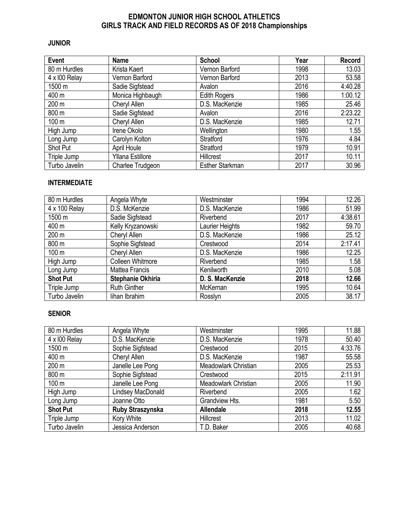# **EDMONTON JUNIOR HIGH SCHOOL ATHLETICS GIRLS TRACK AND FIELD RECORDS AS OF 2018 Championships**

### **JUNIOR**

| <b>Event</b>  | Name                    | <b>School</b>          | Year | <b>Record</b> |
|---------------|-------------------------|------------------------|------|---------------|
| 80 m Hurdles  | Krista Kaert            | Vernon Barford         | 1998 | 13.03         |
| 4 x 100 Relay | Vernon Barford          | Vernon Barford         | 2013 | 53.58         |
| 1500 m        | Sadie Sigfstead         | Avalon                 | 2016 | 4:40.28       |
| 400 m         | Monica Highbaugh        | <b>Edith Rogers</b>    | 1986 | 1:00.12       |
| 200 m         | Cheryl Allen            | D.S. MacKenzie         | 1985 | 25.46         |
| 800 m         | Sadie Sigfstead         | Avalon                 | 2016 | 2:23.22       |
| 100 m         | Cheryl Allen            | D.S. MacKenzie         | 1985 | 12.71         |
| High Jump     | Irene Okolo             | Wellington             | 1980 | 1.55          |
| Long Jump     | Carolyn Kolton          | Stratford              | 1976 | 4.84          |
| Shot Put      | <b>April Houle</b>      | Stratford              | 1979 | 10.91         |
| Triple Jump   | <b>Yllana Estillore</b> | Hillcrest              | 2017 | 10.11         |
| Turbo Javelin | Charlee Trudgeon        | <b>Esther Starkman</b> | 2017 | 30.96         |

## **INTERMEDIATE**

| 80 m Hurdles    | Angela Whyte            | Westminster            | 1994 | 12.26   |
|-----------------|-------------------------|------------------------|------|---------|
| 4 x 100 Relay   | D.S. McKenzie           | D.S. MacKenzie         | 1986 | 51.99   |
| 1500 m          | Sadie Sigfstead         | Riverbend              | 2017 | 4:38.61 |
| 400 m           | Kelly Kryzanowski       | <b>Laurier Heights</b> | 1982 | 59.70   |
| 200 m           | Cheryl Allen            | D.S. MacKenzie         | 1986 | 25.12   |
| 800 m           | Sophie Sigfstead        | Crestwood              | 2014 | 2:17.41 |
| 100 m           | Cheryl Allen            | D.S. MacKenzie         | 1986 | 12.25   |
| High Jump       | <b>Colleen Whitmore</b> | Riverbend              | 1985 | 1.58    |
| Long Jump       | Mattea Francis          | Kenilworth             | 2010 | 5.08    |
| <b>Shot Put</b> | Stephanie Okhiria       | D. S. MacKenzie        | 2018 | 12.66   |
| Triple Jump     | <b>Ruth Ginther</b>     | McKernan               | 1995 | 10.64   |
| Turbo Javelin   | lihan Ibrahim           | Rosslyn                | 2005 | 38.17   |

## **SENIOR**

| 80 m Hurdles    | Angela Whyte      | Westminster          | 1995 | 11.88   |
|-----------------|-------------------|----------------------|------|---------|
| 4 x 100 Relay   | D.S. MacKenzie    | D.S. MacKenzie       | 1978 | 50.40   |
| 1500 m          | Sophie Sigfstead  | Crestwood            | 2015 | 4:33.76 |
| 400 m           | Cheryl Allen      | D.S. MacKenzie       | 1987 | 55.58   |
| 200 m           | Janelle Lee Pong  | Meadowlark Christian | 2005 | 25.53   |
| 800 m           | Sophie Sigfstead  | Crestwood            | 2015 | 2:11.91 |
| 100 m           | Janelle Lee Pong  | Meadowlark Christian | 2005 | 11.90   |
| High Jump       | Lindsey MacDonald | Riverbend            | 2005 | 1.62    |
| Long Jump       | Joanne Otto       | Grandview Hts.       | 1981 | 5.50    |
| <b>Shot Put</b> | Ruby Straszynska  | <b>Allendale</b>     | 2018 | 12.55   |
| Triple Jump     | Kory White        | Hillcrest            | 2013 | 11.02   |
| Turbo Javelin   | Jessica Anderson  | T.D. Baker           | 2005 | 40.68   |